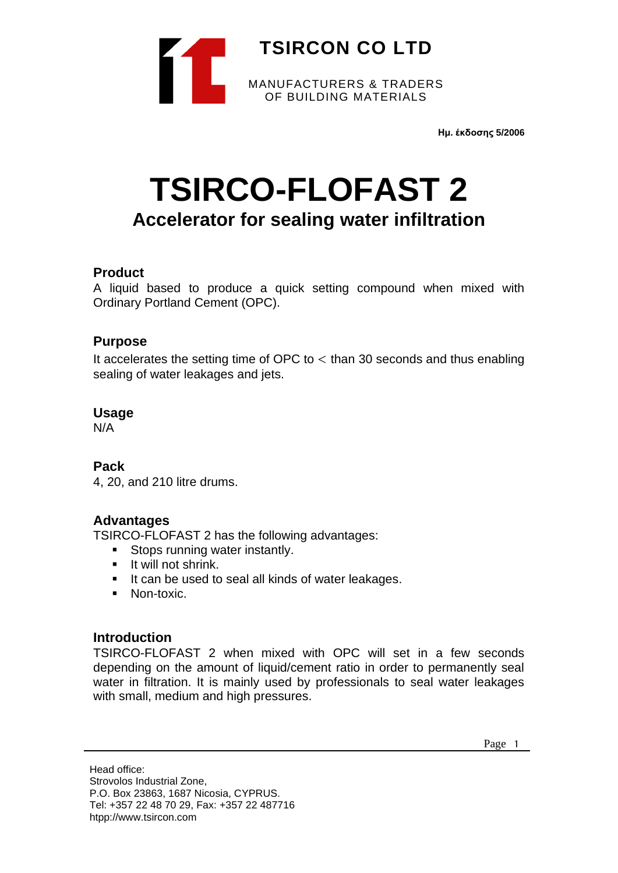

**Ημ. έκδοσης 5/2006**

# **TSIRCO-FLOFAST 2 Accelerator for sealing water infiltration**

## **Product**

A liquid based to produce a quick setting compound when mixed with Ordinary Portland Cement (OPC).

## **Purpose**

It accelerates the setting time of OPC to  $\lt$  than 30 seconds and thus enabling sealing of water leakages and jets.

## **Usage**

N/A

## **Pack**

4, 20, and 210 litre drums.

#### **Advantages**

TSIRCO-FLOFAST 2 has the following advantages:

- Stops running water instantly.
- It will not shrink.
- It can be used to seal all kinds of water leakages.
- Non-toxic.

## **Introduction**

TSIRCO-FLOFAST 2 when mixed with OPC will set in a few seconds depending on the amount of liquid/cement ratio in order to permanently seal water in filtration. It is mainly used by professionals to seal water leakages with small, medium and high pressures.

Page 1

Head office: Strovolos Industrial Zone, P.O. Box 23863, 1687 Nicosia, CYPRUS. Tel: +357 22 48 70 29, Fax: +357 22 487716 htpp://www.tsircon.com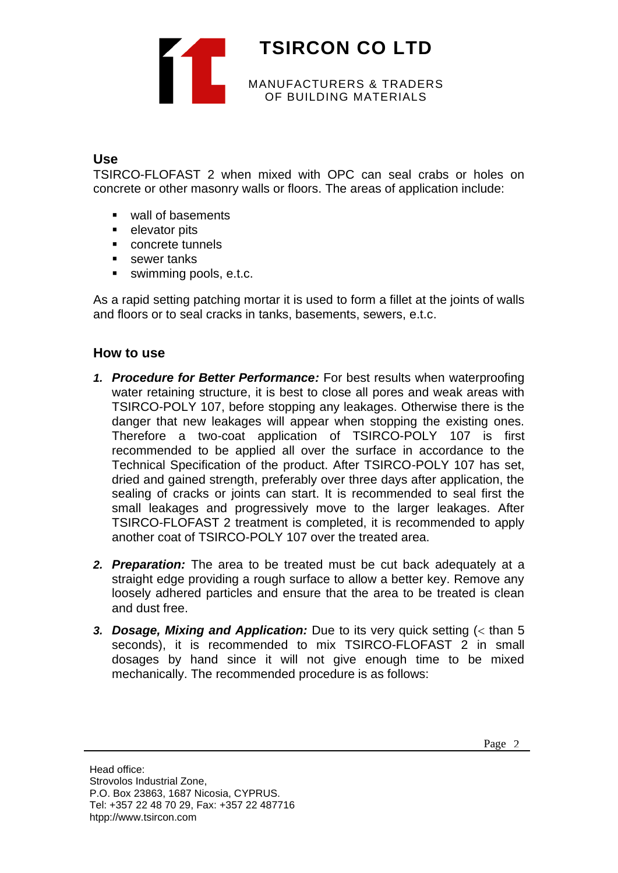

#### **Use**

TSIRCO-FLOFAST 2 when mixed with OPC can seal crabs or holes on concrete or other masonry walls or floors. The areas of application include:

- wall of basements
- elevator pits
- concrete tunnels
- sewer tanks
- swimming pools, e.t.c.

As a rapid setting patching mortar it is used to form a fillet at the joints of walls and floors or to seal cracks in tanks, basements, sewers, e.t.c.

#### **How to use**

- *1. Procedure for Better Performance:* For best results when waterproofing water retaining structure, it is best to close all pores and weak areas with TSIRCO-POLY 107, before stopping any leakages. Otherwise there is the danger that new leakages will appear when stopping the existing ones. Therefore a two-coat application of TSIRCO-POLY 107 is first recommended to be applied all over the surface in accordance to the Technical Specification of the product. After TSIRCO-POLY 107 has set, dried and gained strength, preferably over three days after application, the sealing of cracks or joints can start. It is recommended to seal first the small leakages and progressively move to the larger leakages. After TSIRCO-FLOFAST 2 treatment is completed, it is recommended to apply another coat of TSIRCO-POLY 107 over the treated area.
- *2. Preparation:* The area to be treated must be cut back adequately at a straight edge providing a rough surface to allow a better key. Remove any loosely adhered particles and ensure that the area to be treated is clean and dust free.
- **3. Dosage, Mixing and Application:** Due to its very quick setting (< than 5 seconds), it is recommended to mix TSIRCO-FLOFAST 2 in small dosages by hand since it will not give enough time to be mixed mechanically. The recommended procedure is as follows: